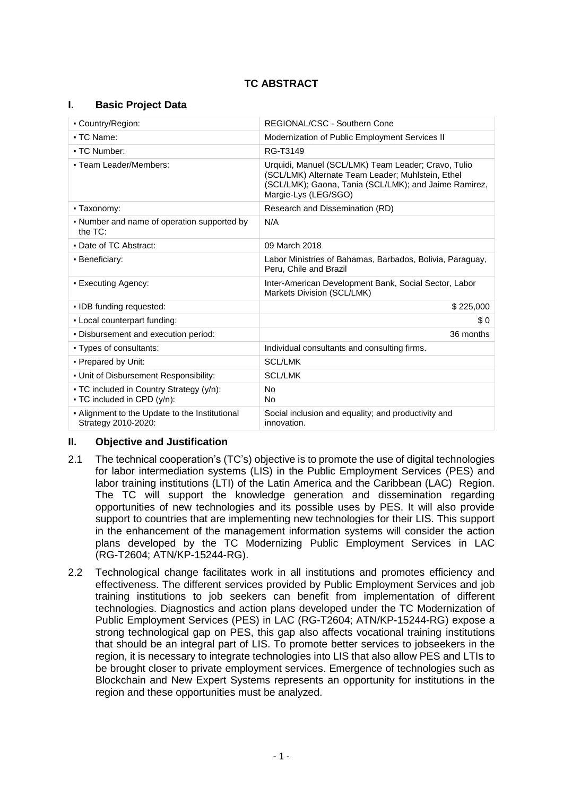# **TC ABSTRACT**

# **I. Basic Project Data**

| • Country/Region:                                                               | REGIONAL/CSC - Southern Cone                                                                                                                                                              |  |  |
|---------------------------------------------------------------------------------|-------------------------------------------------------------------------------------------------------------------------------------------------------------------------------------------|--|--|
| • TC Name:                                                                      | Modernization of Public Employment Services II                                                                                                                                            |  |  |
| - TC Number:                                                                    | RG-T3149                                                                                                                                                                                  |  |  |
| - Team Leader/Members:                                                          | Urquidi, Manuel (SCL/LMK) Team Leader; Cravo, Tulio<br>(SCL/LMK) Alternate Team Leader; Muhlstein, Ethel<br>(SCL/LMK); Gaona, Tania (SCL/LMK); and Jaime Ramirez,<br>Margie-Lys (LEG/SGO) |  |  |
| • Taxonomy:                                                                     | Research and Dissemination (RD)                                                                                                                                                           |  |  |
| • Number and name of operation supported by<br>the $TC$ :                       | N/A                                                                                                                                                                                       |  |  |
| • Date of TC Abstract:                                                          | 09 March 2018                                                                                                                                                                             |  |  |
| • Beneficiary:                                                                  | Labor Ministries of Bahamas, Barbados, Bolivia, Paraguay,<br>Peru, Chile and Brazil                                                                                                       |  |  |
| • Executing Agency:                                                             | Inter-American Development Bank, Social Sector, Labor<br>Markets Division (SCL/LMK)                                                                                                       |  |  |
| . IDB funding requested:                                                        | \$225,000                                                                                                                                                                                 |  |  |
| - Local counterpart funding:                                                    | \$0                                                                                                                                                                                       |  |  |
| . Disbursement and execution period:                                            | 36 months                                                                                                                                                                                 |  |  |
| • Types of consultants:                                                         | Individual consultants and consulting firms.                                                                                                                                              |  |  |
| • Prepared by Unit:                                                             | <b>SCL/LMK</b>                                                                                                                                                                            |  |  |
| . Unit of Disbursement Responsibility:                                          | <b>SCL/LMK</b>                                                                                                                                                                            |  |  |
| • TC included in Country Strategy (y/n):<br>$\bullet$ TC included in CPD (y/n): | <b>No</b><br>No.                                                                                                                                                                          |  |  |
| - Alignment to the Update to the Institutional<br>Strategy 2010-2020:           | Social inclusion and equality; and productivity and<br>innovation.                                                                                                                        |  |  |

# **II. Objective and Justification**

- 2.1 The technical cooperation's (TC's) objective is to promote the use of digital technologies for labor intermediation systems (LIS) in the Public Employment Services (PES) and labor training institutions (LTI) of the Latin America and the Caribbean (LAC) Region. The TC will support the knowledge generation and dissemination regarding opportunities of new technologies and its possible uses by PES. It will also provide support to countries that are implementing new technologies for their LIS. This support in the enhancement of the management information systems will consider the action plans developed by the TC Modernizing Public Employment Services in LAC (RG-T2604; ATN/KP-15244-RG).
- 2.2 Technological change facilitates work in all institutions and promotes efficiency and effectiveness. The different services provided by Public Employment Services and job training institutions to job seekers can benefit from implementation of different technologies. Diagnostics and action plans developed under the TC Modernization of Public Employment Services (PES) in LAC (RG-T2604; ATN/KP-15244-RG) expose a strong technological gap on PES, this gap also affects vocational training institutions that should be an integral part of LIS. To promote better services to jobseekers in the region, it is necessary to integrate technologies into LIS that also allow PES and LTIs to be brought closer to private employment services. Emergence of technologies such as Blockchain and New Expert Systems represents an opportunity for institutions in the region and these opportunities must be analyzed.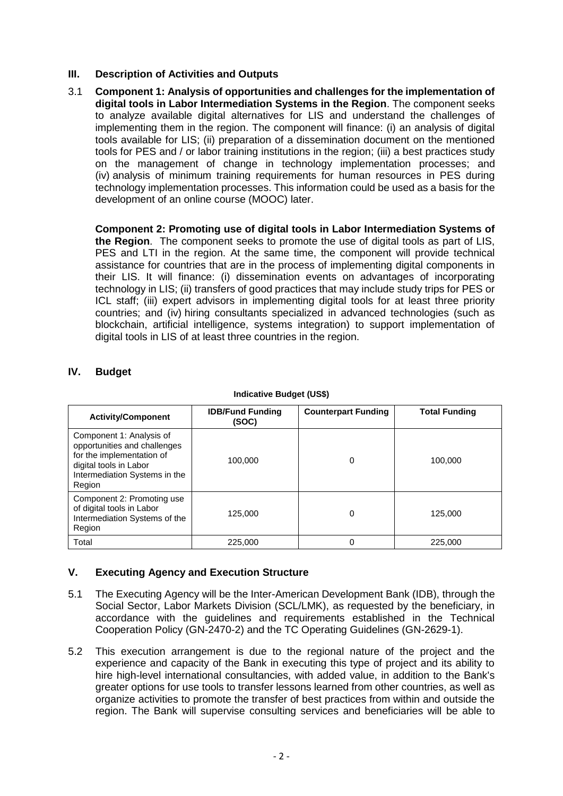# **III. Description of Activities and Outputs**

3.1 **Component 1: Analysis of opportunities and challenges for the implementation of digital tools in Labor Intermediation Systems in the Region**. The component seeks to analyze available digital alternatives for LIS and understand the challenges of implementing them in the region. The component will finance: (i) an analysis of digital tools available for LIS; (ii) preparation of a dissemination document on the mentioned tools for PES and / or labor training institutions in the region; (iii) a best practices study on the management of change in technology implementation processes; and (iv) analysis of minimum training requirements for human resources in PES during technology implementation processes. This information could be used as a basis for the development of an online course (MOOC) later.

**Component 2: Promoting use of digital tools in Labor Intermediation Systems of the Region**. The component seeks to promote the use of digital tools as part of LIS, PES and LTI in the region. At the same time, the component will provide technical assistance for countries that are in the process of implementing digital components in their LIS. It will finance: (i) dissemination events on advantages of incorporating technology in LIS; (ii) transfers of good practices that may include study trips for PES or ICL staff: (iii) expert advisors in implementing digital tools for at least three priority countries; and (iv) hiring consultants specialized in advanced technologies (such as blockchain, artificial intelligence, systems integration) to support implementation of digital tools in LIS of at least three countries in the region.

| IV. | <b>Budget</b> |
|-----|---------------|
|-----|---------------|

| <b>Activity/Component</b>                                                                                                                                  | <b>IDB/Fund Funding</b><br>(SOC) | <b>Counterpart Funding</b> | <b>Total Funding</b> |
|------------------------------------------------------------------------------------------------------------------------------------------------------------|----------------------------------|----------------------------|----------------------|
| Component 1: Analysis of<br>opportunities and challenges<br>for the implementation of<br>digital tools in Labor<br>Intermediation Systems in the<br>Region | 100.000                          | 0                          | 100,000              |
| Component 2: Promoting use<br>of digital tools in Labor<br>Intermediation Systems of the<br>Region                                                         | 125,000                          | 0                          | 125,000              |
| Total                                                                                                                                                      | 225,000                          | 0                          | 225,000              |

#### **Indicative Budget (US\$)**

# **V. Executing Agency and Execution Structure**

- 5.1 The Executing Agency will be the Inter-American Development Bank (IDB), through the Social Sector, Labor Markets Division (SCL/LMK), as requested by the beneficiary, in accordance with the guidelines and requirements established in the Technical Cooperation Policy (GN-2470-2) and the TC Operating Guidelines (GN-2629-1).
- 5.2 This execution arrangement is due to the regional nature of the project and the experience and capacity of the Bank in executing this type of project and its ability to hire high-level international consultancies, with added value, in addition to the Bank's greater options for use tools to transfer lessons learned from other countries, as well as organize activities to promote the transfer of best practices from within and outside the region. The Bank will supervise consulting services and beneficiaries will be able to